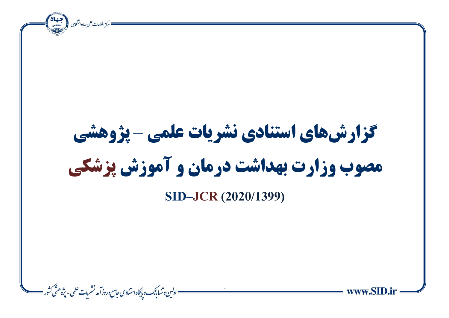ة مركز اطلاعات علمى جهاددانت من المستعدد.<br>• مركز اطلاعات علمى جهاددانت من المستعدد. ì **گزارشهای استنادی نشریات علمی** – **پژوهشی مصوب وزارت بهداشت درمان و آموزش پزشکی SID–JCR (2020/1399)**= اولىن وتنهابانك وبإيكاه استنادى حامع وروز آمد نشربات علمى - يژوهنٹى كشور =  $\ddot{\phantom{0}}$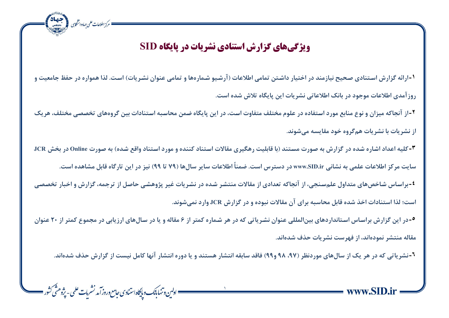## **ویژگی های گزارش استنادی نشریات در پایگاه SID**

ه مرکز اطلاعات علمی جهاددانشگاہی کے مقصد المصنعة

ì

۱-ارائه گزارش استنادی صحیح نیازمند در اختیار داشتن تمامی اطلاعات (آرشیو شمارهها و تمامی عنوان نشریات) است. لذا همواره در حفظ جامعیت و روز آمدی اطلاعات موجود در بانک اطلاعاتی نشریات این پایگاه تلاش شده است.

**۲**-از آنجاکه میزان و نوع منابع مورد استفاده در علوم مختلف متفاوت است، در این پایگاه ضمن محاسبه استنادات بین گروههای تخصصی مختلف، هریک **ان اشیادآ بد اشیادآ همگیو یای دقداسه دطنااد** 

**-3کو ه ا دای انتدر نتد یر گزارش به حتارآ دستناد شبد یدبو . رهگ ی دقدسآ استنادی کااد و داری استنادی وایع نتد ( به حتارآ Online یر بتش JCR**

سایت مرکز اطلاعات علمی به نشانی www.SID.ir در دسترس است. ضمناً اطلاعات سایر سال ها (۷۹ تا ۹۹) نیز در این تارگاه قابل مشاهده است.

<sup>1</sup> براساس شاخصهای متداول علمسنجی، از آنجاکه تعدادی از مقالات منتشر شده در نشریات غیر پژوهشی حاصل از ترجمه، گزارش و اخبار تخصصی است؛ لذا استنادات اخذ شده قابل محاسبه برای آن مقالات نبوده و در گزارش JCR وارد نمی شوند.

**6**-در این گزارش براساس استانداردهای بینالمللی عنوان نشریاتی که در هر شماره کمتر از ۶ مقاله و یا در سالهای ارزیابی در مجموع کمتر از ۲۰ عنوان هقاله منتشر نمودهاند، از فهرست نشریات حذف شدهاند.

**-6اشیادمط که یر هی اک ان سدلهد داریاظی ش،97 98 و99( فدید سدبقه اانشدر هسناد و اد یور اانشدر یاهد کددل ا س. ان گزارش فاف ند ااد** 

= اولىن د تنها بانك و پايكاه استنادى حامع وروز آمد نشريات علمى - پژوهشّى كشور =  $\sqrt{2}$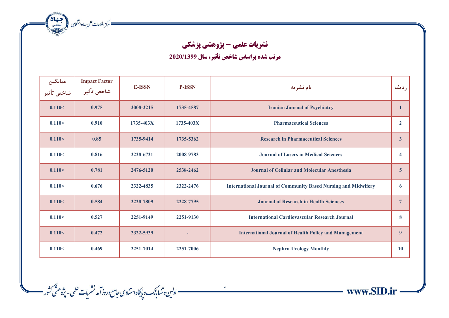ه مركز اطلاعات على جماددانشكارى مع المجتمعة التي تحقيقات

— اولىن وتنها ب<sub>أنك</sub> و پايگاه استنادى *جامع وروز* آمد نشريات علمى - پژوهشّى كثور ——

## **نشریات علمی - پژوهشی پزشکی**

ì

= www.SID.ir

**مرتب شده براساس شاخص تأثیر، سال 2020/1399**

| ميانگين<br>شاخص تأثير | <b>Impact Factor</b><br>شاخص تأثير | <b>E-ISSN</b> | <b>P-ISSN</b> | نام نشریه                                                             | رديف                    |
|-----------------------|------------------------------------|---------------|---------------|-----------------------------------------------------------------------|-------------------------|
| 0.110<                | 0.975                              | 2008-2215     | 1735-4587     | <b>Iranian Journal of Psychiatry</b>                                  | $\mathbf{1}$            |
| 0.110<                | 0.910                              | 1735-403X     | 1735-403X     | <b>Pharmaceutical Sciences</b>                                        | $\overline{2}$          |
| 0.110<                | 0.85                               | 1735-9414     | 1735-5362     | <b>Research in Pharmaceutical Sciences</b>                            | $\mathbf{3}$            |
| 0.110<                | 0.816                              | 2228-6721     | 2008-9783     | <b>Journal of Lasers in Medical Sciences</b>                          | $\overline{\mathbf{4}}$ |
| 0.110<                | 0.781                              | 2476-5120     | 2538-2462     | <b>Journal of Cellular and Molecular Anesthesia</b>                   | $\overline{5}$          |
| 0.110<                | 0.676                              | 2322-4835     | 2322-2476     | <b>International Journal of Community Based Nursing and Midwifery</b> | 6                       |
| 0.110<                | 0.584                              | 2228-7809     | 2228-7795     | <b>Journal of Research in Health Sciences</b>                         | $\overline{7}$          |
| 0.110<                | 0.527                              | 2251-9149     | 2251-9130     | <b>International Cardiovascular Research Journal</b>                  | 8                       |
| 0.110<                | 0.472                              | 2322-5939     |               | <b>International Journal of Health Policy and Management</b>          | $\boldsymbol{9}$        |
| 0.110<                | 0.469                              | 2251-7014     | 2251-7006     | <b>Nephro-Urology Monthly</b>                                         | <b>10</b>               |

 $\mathbf{r}$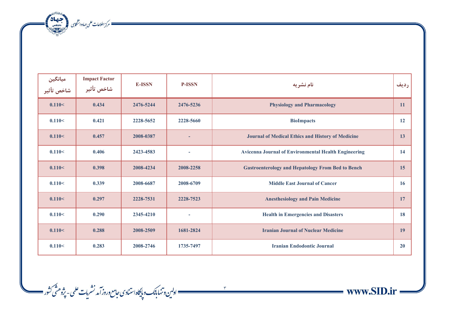المسلم المسلمات على جمادوانشكابى المستعملية المسلمات المسلمات على جمادة الشكلية المسلمات المسلمات المسلمات الم<br>المسلمات المسلمات على جمادوانشكابى

| میانگین<br>شاخص تأثیر | <b>Impact Factor</b><br>شاخص تأثير | <b>E-ISSN</b> | <b>P-ISSN</b> | نام نشریه                                                   | رديف |
|-----------------------|------------------------------------|---------------|---------------|-------------------------------------------------------------|------|
| 0.110<                | 0.434                              | 2476-5244     | 2476-5236     | <b>Physiology and Pharmacology</b>                          | 11   |
| 0.110<                | 0.421                              | 2228-5652     | 2228-5660     | <b>BioImpacts</b>                                           | 12   |
| 0.110<                | 0.457                              | 2008-0387     | ۰             | <b>Journal of Medical Ethics and History of Medicine</b>    | 13   |
| 0.110<                | 0.406                              | 2423-4583     | ÷             | <b>Avicenna Journal of Environmental Health Engineering</b> | 14   |
| 0.110<                | 0.398                              | 2008-4234     | 2008-2258     | <b>Gastroenterology and Hepatology From Bed to Bench</b>    | 15   |
| 0.110<                | 0.339                              | 2008-6687     | 2008-6709     | <b>Middle East Journal of Cancer</b>                        | 16   |
| 0.110<                | 0.297                              | 2228-7531     | 2228-7523     | <b>Anesthesiology and Pain Medicine</b>                     | 17   |
| 0.110<                | 0.290                              | 2345-4210     | ٠             | <b>Health in Emergencies and Disasters</b>                  | 18   |
| 0.110<                | 0.288                              | 2008-2509     | 1681-2824     | <b>Iranian Journal of Nuclear Medicine</b>                  | 19   |
| 0.110<                | 0.283                              | 2008-2746     | 1735-7497     | <b>Iranian Endodontic Journal</b>                           | 20   |

 $\tau$ 

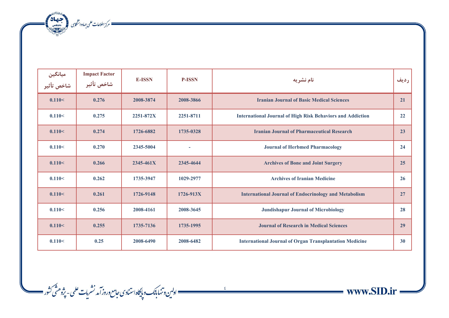ه المسكن الملاعات على جماددانشكارى المستعمر المستعمر الملاعات<br>المسكن المستعمر المستعمر المستعمر المستعمر المستعمر المستعمر المستعمر المستعمر المستعمر المستعمر المستعمر الم<br>المستعمر المستعمر المستعمر المستعمر المستعمر المس

| میانگین<br>شاخص تأثیر | <b>Impact Factor</b><br>شاخص تأثير | <b>E-ISSN</b> | <b>P-ISSN</b> | نام نشريه                                                         | رديف |
|-----------------------|------------------------------------|---------------|---------------|-------------------------------------------------------------------|------|
| 0.110<                | 0.276                              | 2008-3874     | 2008-3866     | <b>Iranian Journal of Basic Medical Sciences</b>                  | 21   |
| 0.110<                | 0.275                              | 2251-872X     | 2251-8711     | <b>International Journal of High Risk Behaviors and Addiction</b> | 22   |
| 0.110<                | 0.274                              | 1726-6882     | 1735-0328     | <b>Iranian Journal of Pharmaceutical Research</b>                 | 23   |
| 0.110<                | 0.270                              | 2345-5004     | ٠             | <b>Journal of Herbmed Pharmacology</b>                            | 24   |
| 0.110<                | 0.266                              | 2345-461X     | 2345-4644     | <b>Archives of Bone and Joint Surgery</b>                         | 25   |
| 0.110<                | 0.262                              | 1735-3947     | 1029-2977     | <b>Archives of Iranian Medicine</b>                               | 26   |
| 0.110<                | 0.261                              | 1726-9148     | 1726-913X     | <b>International Journal of Endocrinology and Metabolism</b>      | 27   |
| 0.110<                | 0.256                              | 2008-4161     | 2008-3645     | <b>Jundishapur Journal of Microbiology</b>                        | 28   |
| 0.110<                | 0.255                              | 1735-7136     | 1735-1995     | <b>Journal of Research in Medical Sciences</b>                    | 29   |
| 0.110<                | 0.25                               | 2008-6490     | 2008-6482     | <b>International Journal of Organ Transplantation Medicine</b>    | 30   |

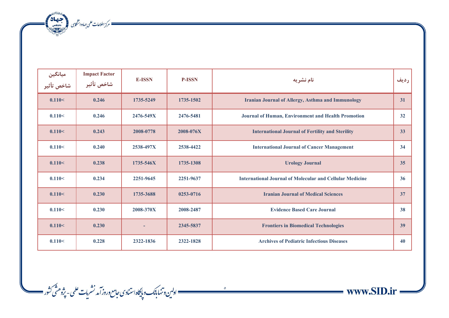ه المعامات على جماددانشان المجمعة المجمعة المجمعة المجمعة المجمعة المجمعة المجموعة المجموعة المجموعة المجموعة<br>المجموعة المجموعة المجموعة المجموعة المجموعة المجموعة المجموعة المجموعة المجموعة المجموعة المجموعة المجموعة ال<br>

| میانگین<br>شاخص تأثیر | <b>Impact Factor</b><br>شاخص تأثير | <b>E-ISSN</b> | <b>P-ISSN</b> | نام نشريه                                                       | رديف |
|-----------------------|------------------------------------|---------------|---------------|-----------------------------------------------------------------|------|
| 0.110<                | 0.246                              | 1735-5249     | 1735-1502     | <b>Iranian Journal of Allergy, Asthma and Immunology</b>        | 31   |
| 0.110<                | 0.246                              | 2476-549X     | 2476-5481     | Journal of Human, Environment and Health Promotion              | 32   |
| 0.110<                | 0.243                              | 2008-0778     | 2008-076X     | <b>International Journal of Fertility and Sterility</b>         | 33   |
| 0.110<                | 0.240                              | 2538-497X     | 2538-4422     | <b>International Journal of Cancer Management</b>               | 34   |
| 0.110<                | 0.238                              | 1735-546X     | 1735-1308     | <b>Urology Journal</b>                                          | 35   |
| 0.110<                | 0.234                              | 2251-9645     | 2251-9637     | <b>International Journal of Molecular and Cellular Medicine</b> | 36   |
| 0.110<                | 0.230                              | 1735-3688     | 0253-0716     | <b>Iranian Journal of Medical Sciences</b>                      | 37   |
| 0.110<                | 0.230                              | 2008-370X     | 2008-2487     | <b>Evidence Based Care Journal</b>                              | 38   |
| 0.110<                | 0.230                              |               | 2345-5837     | <b>Frontiers in Biomedical Technologies</b>                     | 39   |
| 0.110<                | 0.228                              | 2322-1836     | 2322-1828     | <b>Archives of Pediatric Infectious Diseases</b>                | 40   |

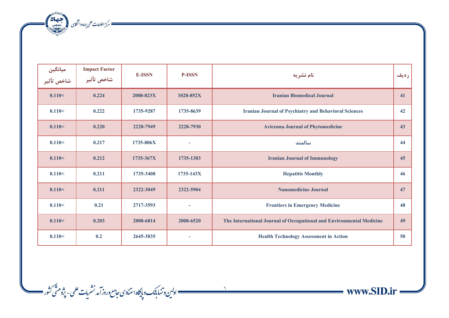ه مركز اطلاعات على جماددانشكارى المجمعة بالتي تحقيقات المجمعة التي تصنيف المجموعة التي تحقيقات المجموعة التي ت<br>المجموعة التي تحقيق المجموعة التي تحقيق المجموعة التي تحقيق المجموعة التي تحقيق المجموعة التي تحقيقات المجموعة

| ميانگين<br>شاخص تأثير | <b>Impact Factor</b><br>شاخص تأثير | <b>E-ISSN</b> | <b>P-ISSN</b> | نام نشریه                                                            | رديف |
|-----------------------|------------------------------------|---------------|---------------|----------------------------------------------------------------------|------|
| 0.110<                | 0.224                              | 2008-823X     | 1028-852X     | <b>Iranian Biomedical Journal</b>                                    | 41   |
| 0.110<                | 0.222                              | 1735-9287     | 1735-8639     | <b>Iranian Journal of Psychiatry and Behavioral Sciences</b>         | 42   |
| 0.110<                | 0.220                              | 2228-7949     | 2228-7930     | <b>Avicenna Journal of Phytomedicine</b>                             | 43   |
| 0.110<                | 0.217                              | 1735-806X     | $\sim$        | سالمند                                                               | 44   |
| 0.110<                | 0.212                              | 1735-367X     | 1735-1383     | <b>Iranian Journal of Immunology</b>                                 | 45   |
| 0.110<                | 0.211                              | 1735-3408     | $1735 - 143X$ | <b>Hepatitis Monthly</b>                                             | 46   |
| 0.110<                | 0.211                              | 2322-3049     | 2322-5904     | <b>Nanomedicine Journal</b>                                          | 47   |
| 0.110<                | 0.21                               | 2717-3593     | $\sim$        | <b>Frontiers in Emergency Medicine</b>                               | 48   |
| 0.110<                | 0.203                              | 2008-6814     | 2008-6520     | The International Journal of Occupational and Environmental Medicine | 49   |
| 0.110<                | 0.2                                | 2645-3835     |               | <b>Health Technology Assessment in Action</b>                        | 50   |

www.SID.ir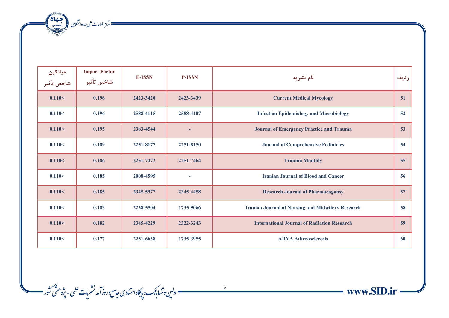ه مسكن الملاعات على جماددانشكارى المتحد المجالات المحصدة المحصر المحدث المحصر المحصول المحصر المحصول المحصول ا<br>المحصول المحصول المحصر المحصر المحصر المحصر المحصر المحصر المحصر المحصر المحصول المحصول المحصول المحصول المحصو

| میانگین<br>شاخص تأثیر | <b>Impact Factor</b><br>شاخص تأثير | <b>E-ISSN</b> | <b>P-ISSN</b> | نام نشریه                                                | رديف |
|-----------------------|------------------------------------|---------------|---------------|----------------------------------------------------------|------|
| 0.110<                | 0.196                              | 2423-3420     | 2423-3439     | <b>Current Medical Mycology</b>                          | 51   |
| 0.110<                | 0.196                              | 2588-4115     | 2588-4107     | <b>Infection Epidemiology and Microbiology</b>           | 52   |
| 0.110<                | 0.195                              | 2383-4544     | ٠             | <b>Journal of Emergency Practice and Trauma</b>          | 53   |
| 0.110<                | 0.189                              | 2251-8177     | 2251-8150     | <b>Journal of Comprehensive Pediatrics</b>               | 54   |
| 0.110<                | 0.186                              | 2251-7472     | 2251-7464     | <b>Trauma Monthly</b>                                    | 55   |
| 0.110<                | 0.185                              | 2008-4595     | $\sim$        | <b>Iranian Journal of Blood and Cancer</b>               | 56   |
| 0.110<                | 0.185                              | 2345-5977     | 2345-4458     | <b>Research Journal of Pharmacognosy</b>                 | 57   |
| 0.110<                | 0.183                              | 2228-5504     | 1735-9066     | <b>Iranian Journal of Nursing and Midwifery Research</b> | 58   |
| 0.110<                | 0.182                              | 2345-4229     | 2322-3243     | <b>International Journal of Radiation Research</b>       | 59   |
| 0.110<                | 0.177                              | 2251-6638     | 1735-3955     | <b>ARYA Atherosclerosis</b>                              | 60   |

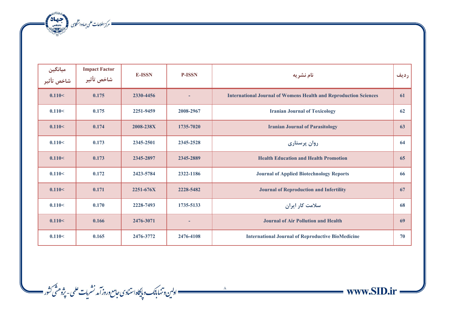ه المعامات على جماددانشان المجمعة المجمعة المجمعة المجمعة المجمعة المجموعية المجموعية المجموعية المجموعية المج<br>المجموعية المجموعية المجموعية المجموعية المجموعية المجموعية المجموعية المجموعية المجموعية المجموعية المجموعية<br>

| ميانگين<br>شاخص تأثير | <b>Impact Factor</b><br>شاخص تأثير | <b>E-ISSN</b> | <b>P-ISSN</b> | نام نشریه                                                               | رديف |
|-----------------------|------------------------------------|---------------|---------------|-------------------------------------------------------------------------|------|
| 0.110<                | 0.175                              | 2330-4456     |               | <b>International Journal of Womens Health and Reproduction Sciences</b> | 61   |
| 0.110<                | 0.175                              | 2251-9459     | 2008-2967     | <b>Iranian Journal of Toxicology</b>                                    | 62   |
| 0.110<                | 0.174                              | 2008-238X     | 1735-7020     | <b>Iranian Journal of Parasitology</b>                                  | 63   |
| 0.110<                | 0.173                              | 2345-2501     | 2345-2528     | روان پرستاری                                                            | 64   |
| 0.110<                | 0.173                              | 2345-2897     | 2345-2889     | <b>Health Education and Health Promotion</b>                            | 65   |
| 0.110<                | 0.172                              | 2423-5784     | 2322-1186     | <b>Journal of Applied Biotechnology Reports</b>                         | 66   |
| 0.110<                | 0.171                              | 2251-676X     | 2228-5482     | <b>Journal of Reproduction and Infertility</b>                          | 67   |
| 0.110<                | 0.170                              | 2228-7493     | 1735-5133     | سلامت کار ایران                                                         | 68   |
| 0.110<                | 0.166                              | 2476-3071     | ٠             | <b>Journal of Air Pollution and Health</b>                              | 69   |
| 0.110<                | 0.165                              | 2476-3772     | 2476-4108     | <b>International Journal of Reproductive BioMedicine</b>                | 70   |



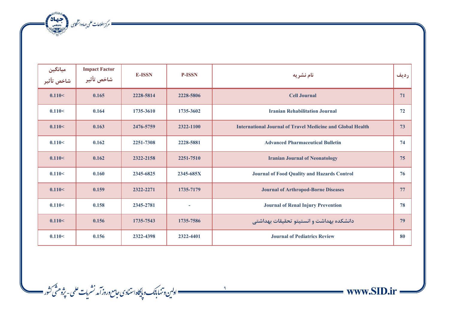مسك مركز اطلاعات على جهاددانشكابى المجتمعة المجانة المجمعة المجانة المجمعة المجانة المجموعة المجانة المجموعة ا<br>المجموعة

| میانگین<br>شاخص تأثیر | <b>Impact Factor</b><br>شاخص تأثير | <b>E-ISSN</b> | <b>P-ISSN</b> | نام نشریه                                                         | رديف |
|-----------------------|------------------------------------|---------------|---------------|-------------------------------------------------------------------|------|
| 0.110<                | 0.165                              | 2228-5814     | 2228-5806     | <b>Cell Journal</b>                                               | 71   |
| 0.110<                | 0.164                              | 1735-3610     | 1735-3602     | <b>Iranian Rehabilitation Journal</b>                             | 72   |
| 0.110<                | 0.163                              | 2476-5759     | 2322-1100     | <b>International Journal of Travel Medicine and Global Health</b> | 73   |
| 0.110<                | 0.162                              | 2251-7308     | 2228-5881     | <b>Advanced Pharmaceutical Bulletin</b>                           | 74   |
| 0.110<                | 0.162                              | 2322-2158     | 2251-7510     | <b>Iranian Journal of Neonatology</b>                             | 75   |
| 0.110<                | 0.160                              | 2345-6825     | 2345-685X     | <b>Journal of Food Quality and Hazards Control</b>                | 76   |
| 0.110<                | 0.159                              | 2322-2271     | 1735-7179     | <b>Journal of Arthropod-Borne Diseases</b>                        | 77   |
| 0.110<                | 0.158                              | 2345-2781     | $\sim$        | <b>Journal of Renal Injury Prevention</b>                         | 78   |
| 0.110<                | 0.156                              | 1735-7543     | 1735-7586     | دانشكده بهداشت و انستيتو تحقيقات بهداشتي                          | 79   |
| 0.110<                | 0.156                              | 2322-4398     | 2322-4401     | <b>Journal of Pediatrics Review</b>                               | 80   |

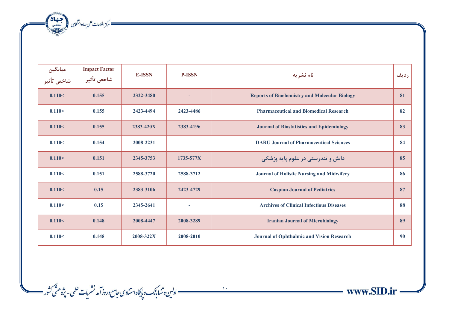مسك مركز اطلاعات على جهاددانشكاى المتحد بالانتصالات

| ميانگين<br>شاخص تأثير | <b>Impact Factor</b><br>شاخص تأثير | <b>E-ISSN</b> | <b>P-ISSN</b> | نام نشریه                                            | رديف |
|-----------------------|------------------------------------|---------------|---------------|------------------------------------------------------|------|
| 0.110<                | 0.155                              | 2322-3480     | ٠             | <b>Reports of Biochemistry and Molecular Biology</b> | 81   |
| 0.110<                | 0.155                              | 2423-4494     | 2423-4486     | <b>Pharmaceutical and Biomedical Research</b>        | 82   |
| 0.110<                | 0.155                              | 2383-420X     | 2383-4196     | <b>Journal of Biostatistics and Epidemiology</b>     | 83   |
| 0.110<                | 0.154                              | 2008-2231     |               | <b>DARU Journal of Pharmaceutical Sciences</b>       | 84   |
| 0.110<                | 0.151                              | 2345-3753     | 1735-577X     | دانش و تندرستی در علوم پایه پزشکی                    | 85   |
| 0.110<                | 0.151                              | 2588-3720     | 2588-3712     | <b>Journal of Holistic Nursing and Midwifery</b>     | 86   |
| 0.110<                | 0.15                               | 2383-3106     | 2423-4729     | <b>Caspian Journal of Pediatrics</b>                 | 87   |
| 0.110<                | 0.15                               | 2345-2641     | $\sim$        | <b>Archives of Clinical Infectious Diseases</b>      | 88   |
| 0.110<                | 0.148                              | 2008-4447     | 2008-3289     | <b>Iranian Journal of Microbiology</b>               | 89   |
| 0.110<                | 0.148                              | 2008-322X     | 2008-2010     | <b>Journal of Ophthalmic and Vision Research</b>     | 90   |

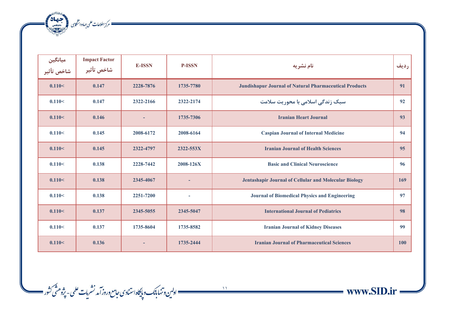

| میانگین<br>شاخص تأثیر | <b>Impact Factor</b><br>شاخص تأثير | <b>E-ISSN</b> | <b>P-ISSN</b> | نام نشریه                                                     | رديف |
|-----------------------|------------------------------------|---------------|---------------|---------------------------------------------------------------|------|
| 0.110<                | 0.147                              | 2228-7876     | 1735-7780     | <b>Jundishapur Journal of Natural Pharmaceutical Products</b> | 91   |
| 0.110<                | 0.147                              | 2322-2166     | 2322-2174     | سبک زندگی اسلامی با محوریت سلامت                              | 92   |
| 0.110<                | 0.146                              |               | 1735-7306     | <b>Iranian Heart Journal</b>                                  | 93   |
| 0.110<                | 0.145                              | 2008-6172     | 2008-6164     | <b>Caspian Journal of Internal Medicine</b>                   | 94   |
| 0.110<                | 0.145                              | 2322-4797     | 2322-553X     | <b>Iranian Journal of Health Sciences</b>                     | 95   |
| 0.110<                | 0.138                              | 2228-7442     | 2008-126X     | <b>Basic and Clinical Neuroscience</b>                        | 96   |
| 0.110<                | 0.138                              | 2345-4067     |               | Jentashapir Journal of Cellular and Molecular Biology         | 169  |
| 0.110<                | 0.138                              | 2251-7200     | $\sim$        | <b>Journal of Biomedical Physics and Engineering</b>          | 97   |
| 0.110<                | 0.137                              | 2345-5055     | 2345-5047     | <b>International Journal of Pediatrics</b>                    | 98   |
| 0.110<                | 0.137                              | 1735-8604     | 1735-8582     | <b>Iranian Journal of Kidney Diseases</b>                     | 99   |
| 0.110<                | 0.136                              |               | 1735-2444     | <b>Iranian Journal of Pharmaceutical Sciences</b>             | 100  |

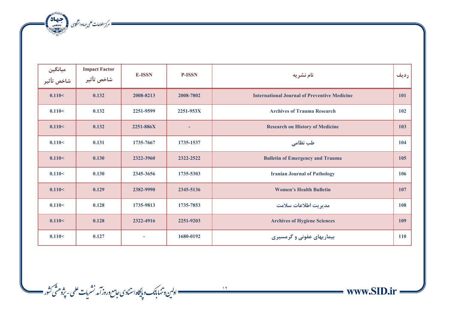مسك مركز اطلاعات على جهاددانشكاى المتحد بالانتصالات

| میانگین<br>شاخص تأثیر | <b>Impact Factor</b><br>شاخص تأثير | <b>E-ISSN</b> | <b>P-ISSN</b> | نام نشریه                                           | رديف       |
|-----------------------|------------------------------------|---------------|---------------|-----------------------------------------------------|------------|
| 0.110<                | 0.132                              | 2008-8213     | 2008-7802     | <b>International Journal of Preventive Medicine</b> | 101        |
| 0.110<                | 0.132                              | 2251-9599     | 2251-953X     | <b>Archives of Trauma Research</b>                  | 102        |
| 0.110<                | 0.132                              | 2251-886X     | ٠             | <b>Research on History of Medicine</b>              | 103        |
| 0.110<                | 0.131                              | 1735-7667     | 1735-1537     | طب نظامی                                            | 104        |
| 0.110<                | 0.130                              | 2322-3960     | 2322-2522     | <b>Bulletin of Emergency and Trauma</b>             | 105        |
| 0.110<                | 0.130                              | 2345-3656     | 1735-5303     | <b>Iranian Journal of Pathology</b>                 | 106        |
| 0.110<                | 0.129                              | 2382-9990     | 2345-5136     | <b>Women's Health Bulletin</b>                      | 107        |
| 0.110<                | 0.128                              | 1735-9813     | 1735-7853     | مديريت اطلاعات سلامت                                | 108        |
| 0.110<                | 0.128                              | 2322-4916     | 2251-9203     | <b>Archives of Hygiene Sciences</b>                 | <b>109</b> |
| 0.110<                | 0.127                              |               | 1680-0192     | بیماریهای عفونی و گرمسیری                           | 110        |



 $\longrightarrow$  www.SID.ir =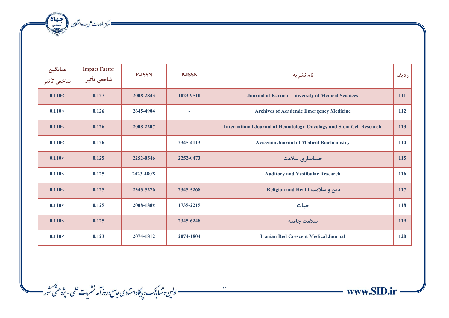مسك مركز اطلاعات على جهاددانشكاى المتحد بالانتصالات

| میانگین<br>شاخص تأثیر | <b>Impact Factor</b><br>شاخص تأثير | <b>E-ISSN</b> | <b>P-ISSN</b>            | نام نشريه                                                                  | رديف       |
|-----------------------|------------------------------------|---------------|--------------------------|----------------------------------------------------------------------------|------------|
| 0.110<                | 0.127                              | 2008-2843     | 1023-9510                | <b>Journal of Kerman University of Medical Sciences</b>                    | <b>111</b> |
| 0.110<                | 0.126                              | 2645-4904     | $\overline{\phantom{a}}$ | <b>Archives of Academic Emergency Medicine</b>                             | 112        |
| 0.110<                | 0.126                              | 2008-2207     | ٠                        | <b>International Journal of Hematology-Oncology and Stem Cell Research</b> | 113        |
| 0.110<                | 0.126                              |               | 2345-4113                | <b>Avicenna Journal of Medical Biochemistry</b>                            | 114        |
| 0.110<                | 0.125                              | 2252-0546     | 2252-0473                | حسابداری سلامت                                                             | 115        |
| 0.110<                | 0.125                              | 2423-480X     |                          | <b>Auditory and Vestibular Research</b>                                    | 116        |
| 0.110<                | 0.125                              | 2345-5276     | 2345-5268                | دین و سلامت Religion and Health                                            | 117        |
| 0.110<                | 0.125                              | 2008-188x     | 1735-2215                | حيات                                                                       | 118        |
| 0.110<                | 0.125                              |               | 2345-6248                | سلامت جامعه                                                                | 119        |
| 0.110<                | 0.123                              | 2074-1812     | 2074-1804                | <b>Iranian Red Crescent Medical Journal</b>                                | 120        |

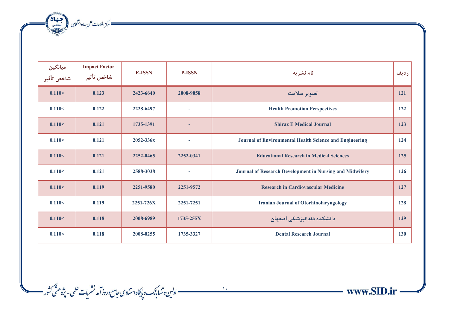مركز اطلاعات على جهاددانشكابى (مجتمعة 142)<br>مستخدم كرز اطلاعات على جهاددانشكابى

| میانگین<br>شاخص تأثیر | <b>Impact Factor</b><br>شاخص تأثير | <b>E-ISSN</b> | <b>P-ISSN</b> | نام نشریه                                                | رديف       |
|-----------------------|------------------------------------|---------------|---------------|----------------------------------------------------------|------------|
| 0.110<                | 0.123                              | 2423-6640     | 2008-9058     | تصوير سلامت                                              | 121        |
| 0.110<                | 0.122                              | 2228-6497     | ٠             | <b>Health Promotion Perspectives</b>                     | 122        |
| 0.110<                | 0.121                              | 1735-1391     | ٠             | <b>Shiraz E Medical Journal</b>                          | 123        |
| 0.110<                | 0.121                              | 2052-336x     | ۰             | Journal of Environmental Health Science and Engineering  | 124        |
| 0.110<                | 0.121                              | 2252-0465     | 2252-0341     | <b>Educational Research in Medical Sciences</b>          | 125        |
| 0.110<                | 0.121                              | 2588-3038     | $\sim$        | Journal of Research Development in Nursing and Midwifery | 126        |
| 0.110<                | 0.119                              | 2251-9580     | 2251-9572     | <b>Research in Cardiovascular Medicine</b>               | 127        |
| 0.110<                | 0.119                              | 2251-726X     | 2251-7251     | <b>Iranian Journal of Otorhinolaryngology</b>            | 128        |
| 0.110<                | 0.118                              | 2008-6989     | 1735-255X     | دانشکده دندانپزشکی اصفهان                                | 129        |
| 0.110<                | 0.118                              | 2008-0255     | 1735-3327     | <b>Dental Research Journal</b>                           | <b>130</b> |

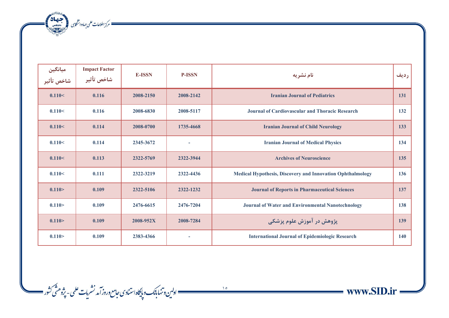مسك مركز اطلاعات على جهاددانشكابى المجتمعة بالتعادية

| ميانگين<br>شاخص تأثير | <b>Impact Factor</b><br>شاخص تأثير | <b>E-ISSN</b> | <b>P-ISSN</b> | نام نشریه                                                         | رديف |
|-----------------------|------------------------------------|---------------|---------------|-------------------------------------------------------------------|------|
| 0.110<                | 0.116                              | 2008-2150     | 2008-2142     | <b>Iranian Journal of Pediatrics</b>                              | 131  |
| 0.110<                | 0.116                              | 2008-6830     | 2008-5117     | <b>Journal of Cardiovascular and Thoracic Research</b>            | 132  |
| 0.110<                | 0.114                              | 2008-0700     | 1735-4668     | <b>Iranian Journal of Child Neurology</b>                         | 133  |
| 0.110<                | 0.114                              | 2345-3672     | ۰             | <b>Iranian Journal of Medical Physics</b>                         | 134  |
| 0.110<                | 0.113                              | 2322-5769     | 2322-3944     | <b>Archives of Neuroscience</b>                                   | 135  |
| 0.110<                | 0.111                              | 2322-3219     | 2322-4436     | <b>Medical Hypothesis, Discovery and Innovation Ophthalmology</b> | 136  |
| 0.110 >               | 0.109                              | 2322-5106     | 2322-1232     | <b>Journal of Reports in Pharmaceutical Sciences</b>              | 137  |
| 0.110 >               | 0.109                              | 2476-6615     | 2476-7204     | <b>Journal of Water and Environmental Nanotechnology</b>          | 138  |
| 0.110 >               | 0.109                              | 2008-952X     | 2008-7284     | پژوهش در آموزش علوم پزشکی                                         | 139  |
| 0.110 >               | 0.109                              | 2383-4366     |               | <b>International Journal of Epidemiologic Research</b>            | 140  |



www.SID.ir =

and a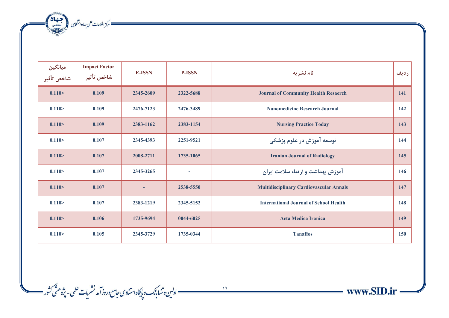مركز اطلاعات على جهاددانشكابى (مجتمعة 142)<br>مستخدم كرز اطلاعات على جهاددانشكابى

| میانگین<br>شاخص تأثیر | <b>Impact Factor</b><br>شاخص تأثير | <b>E-ISSN</b> | <b>P-ISSN</b> | نام نشریه                                      | رديف |
|-----------------------|------------------------------------|---------------|---------------|------------------------------------------------|------|
| 0.110 >               | 0.109                              | 2345-2609     | 2322-5688     | <b>Journal of Community Health Resaerch</b>    | 141  |
| 0.110 >               | 0.109                              | 2476-7123     | 2476-3489     | <b>Nanomedicine Research Journal</b>           | 142  |
| 0.110 >               | 0.109                              | 2383-1162     | 2383-1154     | <b>Nursing Practice Today</b>                  | 143  |
| 0.110 >               | 0.107                              | 2345-4393     | 2251-9521     | توسعه آموزش در علوم پزشکی                      | 144  |
| 0.110 >               | 0.107                              | 2008-2711     | 1735-1065     | <b>Iranian Journal of Radiology</b>            | 145  |
| 0.110 >               | 0.107                              | 2345-3265     |               | آموزش بهداشت و ارتقاء سلامت ایران              | 146  |
| 0.110 >               | 0.107                              |               | 2538-5550     | <b>Multidisciplinary Cardiovascular Annals</b> | 147  |
| 0.110 >               | 0.107                              | 2383-1219     | 2345-5152     | <b>International Journal of School Health</b>  | 148  |
| 0.110 >               | 0.106                              | 1735-9694     | 0044-6025     | <b>Acta Medica Iranica</b>                     | 149  |
| 0.110 >               | 0.105                              | 2345-3729     | 1735-0344     | <b>Tanaffos</b>                                | 150  |

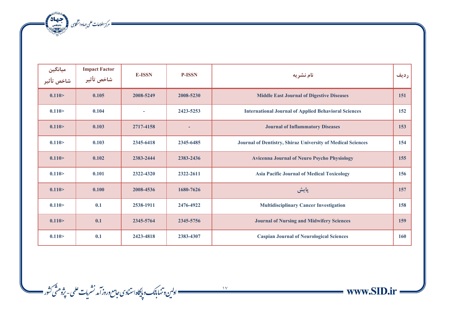مسك مركز اطلاعات على جهاددانشكاى المتحد بالانتصالات

| ميانگين<br>شاخص تأثير | <b>Impact Factor</b><br>شاخص تأثير | <b>E-ISSN</b> | <b>P-ISSN</b> | نام نشریه                                                   | رديف |
|-----------------------|------------------------------------|---------------|---------------|-------------------------------------------------------------|------|
| 0.110 >               | 0.105                              | 2008-5249     | 2008-5230     | <b>Middle East Journal of Digestive Diseases</b>            | 151  |
| 0.110 >               | 0.104                              |               | 2423-5253     | <b>International Journal of Applied Behavioral Sciences</b> | 152  |
| 0.110 >               | 0.103                              | 2717-4158     |               | <b>Journal of Inflammatory Diseases</b>                     | 153  |
| 0.110 >               | 0.103                              | 2345-6418     | 2345-6485     | Journal of Dentistry, Shiraz University of Medical Sciences | 154  |
| 0.110 >               | 0.102                              | 2383-2444     | 2383-2436     | <b>Avicenna Journal of Neuro Psycho Physiology</b>          | 155  |
| 0.110 >               | 0.101                              | 2322-4320     | 2322-2611     | <b>Asia Pacific Journal of Medical Toxicology</b>           | 156  |
| 0.110 >               | 0.100                              | 2008-4536     | 1680-7626     | <b>پایش</b>                                                 | 157  |
| 0.110 >               | 0.1                                | 2538-1911     | 2476-4922     | <b>Multidisciplinary Cancer Investigation</b>               | 158  |
| 0.110 >               | 0.1                                | 2345-5764     | 2345-5756     | <b>Journal of Nursing and Midwifery Sciences</b>            | 159  |
| 0.110 >               | 0.1                                | 2423-4818     | 2383-4307     | <b>Caspian Journal of Neurological Sciences</b>             | 160  |



 $\longrightarrow$  www.SID.ir =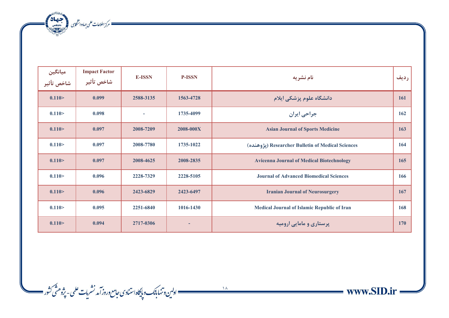مسك مركز اطلاعات على جهاددانشكابى المجتمعة المجانة المجمعة المجانة المجمعة المجانة المجموعة المجانة المجموعة ا<br>المجموعة

| میانگین<br>شاخص تأثیر | <b>Impact Factor</b><br>شاخص تأثير | <b>E-ISSN</b> | <b>P-ISSN</b> | نام نشریه                                          | رديف       |
|-----------------------|------------------------------------|---------------|---------------|----------------------------------------------------|------------|
| 0.110 >               | 0.099                              | 2588-3135     | 1563-4728     | دانشگاه علوم پزشکی ایلام                           | 161        |
| 0.110 >               | 0.098                              |               | 1735-4099     | جراحي ايران                                        | 162        |
| 0.110 >               | 0.097                              | 2008-7209     | 2008-000X     | <b>Asian Journal of Sports Medicine</b>            | 163        |
| 0.110 >               | 0.097                              | 2008-7780     | 1735-1022     | (يژوهنده) Researcher Bulletin of Medical Sciences  | 164        |
| 0.110 >               | 0.097                              | 2008-4625     | 2008-2835     | <b>Avicenna Journal of Medical Biotechnology</b>   | 165        |
| 0.110 >               | 0.096                              | 2228-7329     | 2228-5105     | <b>Journal of Advanced Biomedical Sciences</b>     | 166        |
| 0.110 >               | 0.096                              | 2423-6829     | 2423-6497     | <b>Iranian Journal of Neurosurgery</b>             | 167        |
| 0.110 >               | 0.095                              | 2251-6840     | 1016-1430     | <b>Medical Journal of Islamic Republic of Iran</b> | 168        |
| 0.110 >               | 0.094                              | 2717-0306     | ۰             | پرستاری و مامایی ارومیه                            | <b>170</b> |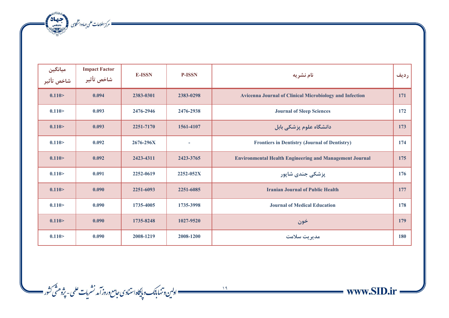مسك مركز اطلاعات على جهاددانشكاى المتحد بالانتصالات

| میانگین<br>شاخص تأثیر | <b>Impact Factor</b><br>شاخص تأثير | <b>E-ISSN</b> | <b>P-ISSN</b> | نام نشریه                                                      | رديف |
|-----------------------|------------------------------------|---------------|---------------|----------------------------------------------------------------|------|
| 0.110 >               | 0.094                              | 2383-0301     | 2383-0298     | <b>Avicenna Journal of Clinical Microbiology and Infection</b> | 171  |
| 0.110 >               | 0.093                              | 2476-2946     | 2476-2938     | <b>Journal of Sleep Sciences</b>                               | 172  |
| 0.110 >               | 0.093                              | 2251-7170     | 1561-4107     | دانشگاه علوم پزشکی بابل                                        | 173  |
| 0.110 >               | 0.092                              | $2676 - 296X$ | $\sim$        | <b>Frontiers in Dentistry (Journal of Dentistry)</b>           | 174  |
| 0.110 >               | 0.092                              | 2423-4311     | 2423-3765     | <b>Environmental Health Engineering and Management Journal</b> | 175  |
| 0.110 >               | 0.091                              | 2252-0619     | 2252-052X     | پزشکی جندی شاپور                                               | 176  |
| 0.110 >               | 0.090                              | 2251-6093     | 2251-6085     | <b>Iranian Journal of Public Health</b>                        | 177  |
| 0.110 >               | 0.090                              | 1735-4005     | 1735-3998     | <b>Journal of Medical Education</b>                            | 178  |
| 0.110 >               | 0.090                              | 1735-8248     | 1027-9520     | خون                                                            | 179  |
| 0.110 >               | 0.090                              | 2008-1219     | 2008-1200     | مديريت سلامت                                                   | 180  |

www.SID.ir =

۱۹<br>۱۹ ــــــــــــــــــــــ اولین و تنها بانک و پایگاه استنادی حامع وروز آمد نشریات علمی - پژوهشی کشور ـــــــــ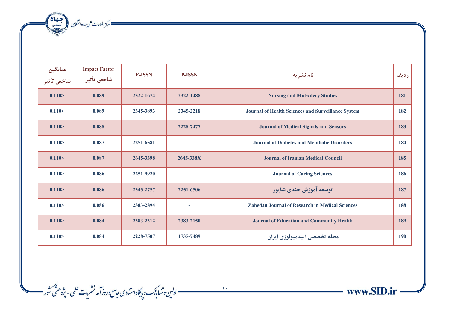مسكر الطلاعات على جهاددانشكابى المجتمعة المجتمعة المجتمعة المجتمعة المجتمعة المجتمعة المجتمعة المجتمعة المجتمعة<br>المجتمعة المجتمعة المجتمعة المجتمعة المجتمعة المجتمعة المجتمعة المجتمعة المجتمعة المجتمعة المجتمعة المجتمعة ا

| میانگین<br>شاخص تأثیر | <b>Impact Factor</b><br>شاخص تأثير | <b>E-ISSN</b> | <b>P-ISSN</b>            | نام نشریه                                                 | رديف |
|-----------------------|------------------------------------|---------------|--------------------------|-----------------------------------------------------------|------|
| 0.110 >               | 0.089                              | 2322-1674     | 2322-1488                | <b>Nursing and Midwifery Studies</b>                      | 181  |
| 0.110 >               | 0.089                              | 2345-3893     | 2345-2218                | <b>Journal of Health Sciences and Surveillance System</b> | 182  |
| 0.110 >               | 0.088                              |               | 2228-7477                | <b>Journal of Medical Signals and Sensors</b>             | 183  |
| 0.110 >               | 0.087                              | 2251-6581     | $\sim$                   | <b>Journal of Diabetes and Metabolic Disorders</b>        | 184  |
| 0.110 >               | 0.087                              | 2645-3398     | 2645-338X                | <b>Journal of Iranian Medical Council</b>                 | 185  |
| 0.110 >               | 0.086                              | 2251-9920     | $\overline{\phantom{a}}$ | <b>Journal of Caring Sciences</b>                         | 186  |
| 0.110 >               | 0.086                              | 2345-2757     | 2251-6506                | توسعه آموزش جندي شايور                                    | 187  |
| 0.110 >               | 0.086                              | 2383-2894     | $\sim$                   | <b>Zahedan Journal of Research in Medical Sciences</b>    | 188  |
| 0.110 >               | 0.084                              | 2383-2312     | 2383-2150                | <b>Journal of Education and Community Health</b>          | 189  |
| 0.110 >               | 0.084                              | 2228-7507     | 1735-7489                | مجله تخصصي اپيدميولوژي ايران                              | 190  |



www.SID.ir

ì

. ۲۰<br>\_\_\_\_\_\_\_\_\_\_\_\_\_\_\_\_ اولىن وتنهابانك وپايگاه استنادى حامع وروز آمد نشريات علمى - پژوهشى كثور \_\_\_\_\_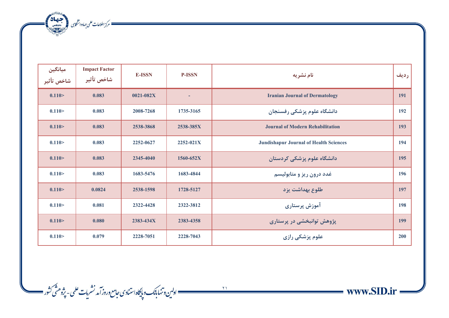مسك مركز اطلاعات على جهاددانشكاس المجتمعة المجمعة المجمعة المجمعة المجمعة المجموعة المجموعة المجموعة المجموعة<br>المجموعة المجموعة المجموعة المجموعة المجموعة المجموعة المجموعة المجموعة المجموعة المجموعة المجموعة المجموعة ال<br>

| ميانگين<br>شاخص تأثير | <b>Impact Factor</b><br>شاخص تأثير | <b>E-ISSN</b> | <b>P-ISSN</b> | نام نشریه                                     | رديف |
|-----------------------|------------------------------------|---------------|---------------|-----------------------------------------------|------|
| 0.110 >               | 0.083                              | $0021 - 082X$ |               | <b>Iranian Journal of Dermatology</b>         | 191  |
| 0.110 >               | 0.083                              | 2008-7268     | 1735-3165     | دانشگاه علوم پزشکی رفسنجان                    | 192  |
| 0.110 >               | 0.083                              | 2538-3868     | 2538-385X     | <b>Journal of Modern Rehabilitation</b>       | 193  |
| 0.110 >               | 0.083                              | 2252-0627     | $2252 - 021X$ | <b>Jundishapur Journal of Health Sciences</b> | 194  |
| 0.110 >               | 0.083                              | 2345-4040     | 1560-652X     | دانشگاه علوم پزشکی کردستان                    | 195  |
| 0.110 >               | 0.083                              | 1683-5476     | 1683-4844     | غدد درون ريز و متابوليسم                      | 196  |
| 0.110 >               | 0.0824                             | 2538-1598     | 1728-5127     | طلوع بهداشت یزد                               | 197  |
| 0.110 >               | 0.081                              | 2322-4428     | 2322-3812     | آموزش پرستاری                                 | 198  |
| 0.110 >               | 0.080                              | 2383-434X     | 2383-4358     | پژوهش توانبخشی در پرستاری                     | 199  |
| 0.110 >               | 0.079                              | 2228-7051     | 2228-7043     | علوم پزشکی رازی                               | 200  |

21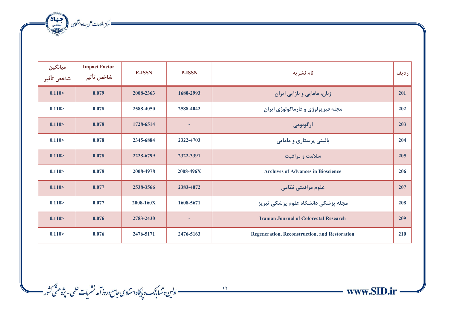مركز اطلاعات على جهاددانشكابى (مجتمعة 142)<br>مستخدم كرز اطلاعات على جهاددانشكابى

| میانگین<br>شاخص تأثیر | <b>Impact Factor</b><br>شاخص تأثير | <b>E-ISSN</b> | <b>P-ISSN</b> | نام نشریه                                            | رديف |
|-----------------------|------------------------------------|---------------|---------------|------------------------------------------------------|------|
| 0.110 >               | 0.079                              | 2008-2363     | 1680-2993     | زنان، مامایی و نازایی ایران                          | 201  |
| 0.110 >               | 0.078                              | 2588-4050     | 2588-4042     | مجله فيزيولوژي و فارماكولوژي ايران                   | 202  |
| 0.110 >               | 0.078                              | 1728-6514     | ٠             | ارگونومی                                             | 203  |
| 0.110 >               | 0.078                              | 2345-6884     | 2322-4703     | بالینی پرستاری و مامایی                              | 204  |
| 0.110 >               | 0.078                              | 2228-6799     | 2322-3391     | سلامت و مراقبت                                       | 205  |
| 0.110 >               | 0.078                              | 2008-4978     | 2008-496X     | <b>Archives of Advances in Bioscience</b>            | 206  |
| 0.110 >               | 0.077                              | 2538-3566     | 2383-4072     | علوم مراقبتي نظامي                                   | 207  |
| 0.110 >               | 0.077                              | 2008-160X     | 1608-5671     | مجله پزشکی دانشگاه علوم پزشکی تبریز                  | 208  |
| 0.110 >               | 0.076                              | 2783-2430     | ٠             | <b>Iranian Journal of Colorectal Research</b>        | 209  |
| 0.110 >               | 0.076                              | 2476-5171     | 2476-5163     | <b>Regeneration, Reconstruction, and Restoration</b> | 210  |



ے ۔<br>12 \_\_\_\_\_\_\_\_\_\_\_ اولین و تنها بانک و پایگاه استنادی حامع وروز آمد نشریات علمی - پژوهشی کشور \_\_\_\_\_\_\_\_\_\_\_\_\_\_\_\_\_\_\_\_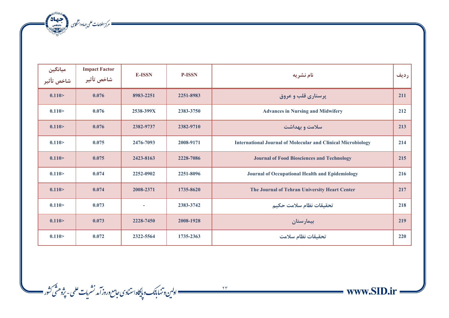مسك مركز اطلاعات على جهاددانشكاى المتحد بالانتصالات

| ميانگين<br>شاخص تأثير | <b>Impact Factor</b><br>شاخص تأثير | <b>E-ISSN</b> | <b>P-ISSN</b> | نام نشریه                                                           | رديف |
|-----------------------|------------------------------------|---------------|---------------|---------------------------------------------------------------------|------|
| 0.110 >               | 0.076                              | 8983-2251     | 2251-8983     | پرستاری قلب و عروق                                                  | 211  |
| 0.110 >               | 0.076                              | 2538-399X     | 2383-3750     | <b>Advances in Nursing and Midwifery</b>                            | 212  |
| 0.110 >               | 0.076                              | 2382-9737     | 2382-9710     | سلامت و بهداشت                                                      | 213  |
| 0.110 >               | 0.075                              | 2476-7093     | 2008-9171     | <b>International Journal of Molecular and Clinical Microbiology</b> | 214  |
| 0.110 >               | 0.075                              | 2423-8163     | 2228-7086     | <b>Journal of Food Biosciences and Technology</b>                   | 215  |
| 0.110 >               | 0.074                              | 2252-0902     | 2251-8096     | <b>Journal of Occupational Health and Epidemiology</b>              | 216  |
| 0.110 >               | 0.074                              | 2008-2371     | 1735-8620     | The Journal of Tehran University Heart Center                       | 217  |
| 0.110 >               | 0.073                              |               | 2383-3742     | تحقيقات نظام سلامت حكيم                                             | 218  |
| 0.110 >               | 0.073                              | 2228-7450     | 2008-1928     | بيمارستان                                                           | 219  |
| 0.110 >               | 0.072                              | 2322-5564     | 1735-2363     | تحقيقات نظام سلامت                                                  | 220  |

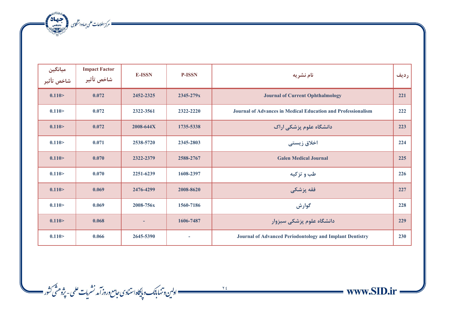مستقل المستقلة المركز اطلاعات على جهاد وانتظابى المستقلة المحصر المستقلة

| میانگین<br>شاخص تأثیر | <b>Impact Factor</b><br>شاخص تأثير | <b>E-ISSN</b> | <b>P-ISSN</b> | نام نشريه                                                           | رديف |
|-----------------------|------------------------------------|---------------|---------------|---------------------------------------------------------------------|------|
| 0.110 >               | 0.072                              | 2452-2325     | 2345-279x     | <b>Journal of Current Ophthalmology</b>                             | 221  |
| 0.110 >               | 0.072                              | 2322-3561     | 2322-2220     | <b>Journal of Advances in Medical Education and Professionalism</b> | 222  |
| 0.110 >               | 0.072                              | 2008-644X     | 1735-5338     | دانشگاه علوم پزشکی اراک                                             | 223  |
| 0.110 >               | 0.071                              | 2538-5720     | 2345-2803     | اخلاق زیستی                                                         | 224  |
| 0.110 >               | 0.070                              | 2322-2379     | 2588-2767     | <b>Galen Medical Journal</b>                                        | 225  |
| 0.110 >               | 0.070                              | 2251-6239     | 1608-2397     | طب و تزكيه                                                          | 226  |
| 0.110 >               | 0.069                              | 2476-4299     | 2008-8620     | فقه پزشکی                                                           | 227  |
| 0.110 >               | 0.069                              | 2008-756x     | 1560-7186     | گوارش                                                               | 228  |
| 0.110 >               | 0.068                              |               | 1606-7487     | دانشگاه علوم پزشکی سبزوار                                           | 229  |
| 0.110 >               | 0.066                              | 2645-5390     | ÷             | <b>Journal of Advanced Periodontology and Implant Dentistry</b>     | 230  |

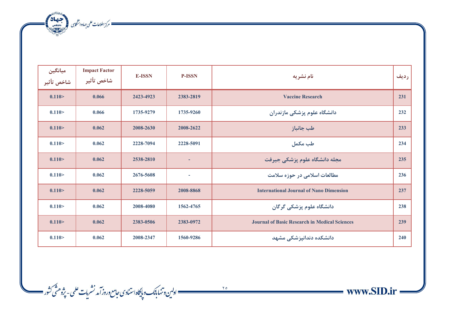مسك مركز اطلاعات على جهاددانشكاي مستعمل المجتمعة في المحمدة المحمدة المحمدة المحمدة المحمدة المحمدة المحمدة ال<br>المحمدة المحمدة المحمدة المحمدة المحمدة المحمدة المحمدة المحمدة المحمدة المحمدة المحمدة المحمدة المحمدة المحمد

| ميانگين<br>شاخص تأثير | <b>Impact Factor</b><br>شاخص تأثير | <b>E-ISSN</b> | <b>P-ISSN</b> | نام نشریه                                            | رديف |
|-----------------------|------------------------------------|---------------|---------------|------------------------------------------------------|------|
| 0.110 >               | 0.066                              | 2423-4923     | 2383-2819     | <b>Vaccine Research</b>                              | 231  |
| 0.110 >               | 0.066                              | 1735-9279     | 1735-9260     | دانشگاه علوم پزشکی مازندران                          | 232  |
| 0.110 >               | 0.062                              | 2008-2630     | 2008-2622     | طب جانباز                                            | 233  |
| 0.110 >               | 0.062                              | 2228-7094     | 2228-5091     | طب مكمل                                              | 234  |
| 0.110 >               | 0.062                              | 2538-2810     | ٠             | مجله دانشگاه علوم پزشکی جیرفت                        | 235  |
| 0.110 >               | 0.062                              | 2676-5608     | ÷             | مطالعات اسلامی در حوزه سلامت                         | 236  |
| 0.110 >               | 0.062                              | 2228-5059     | 2008-8868     | <b>International Journal of Nano Dimension</b>       | 237  |
| 0.110 >               | 0.062                              | 2008-4080     | 1562-4765     | دانشگاه علوم پزشکی گرگان                             | 238  |
| 0.110 >               | 0.062                              | 2383-0506     | 2383-0972     | <b>Journal of Basic Research in Medical Sciences</b> | 239  |
| 0.110 >               | 0.062                              | 2008-2347     | 1560-9286     | دانشکده دندانپزشکی مشهد                              | 240  |

www.SID.ir and in

ì

ے ۔<br>\_\_\_\_\_\_\_\_\_\_\_\_\_\_ اولین وتنها بانک و پایگاه استنادی حامع وروز آمد نشریات علمی - پژوهشی کثور \_\_\_\_\_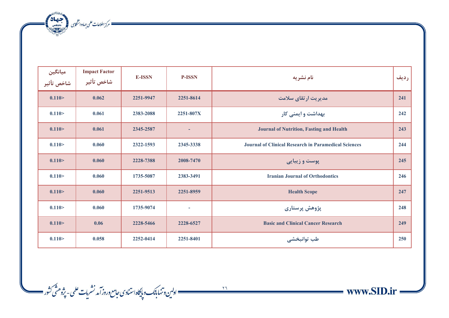مسك مركز اطلاعات على جهاددانشكاي مستعمل المجتمعة في المحمدة المحمدة المحمدة المحمدة المحمدة المحمدة المحمدة ال<br>المحمدة المحمدة المحمدة المحمدة المحمدة المحمدة المحمدة المحمدة المحمدة المحمدة المحمدة المحمدة المحمدة المحمد

| میانگین<br>شاخص تأثیر | <b>Impact Factor</b><br>شاخص تأثير | <b>E-ISSN</b> | <b>P-ISSN</b>            | نام نشریه                                                   | رديف |
|-----------------------|------------------------------------|---------------|--------------------------|-------------------------------------------------------------|------|
| 0.110 >               | 0.062                              | 2251-9947     | 2251-8614                | مدیریت ارتقای سلامت                                         | 241  |
| 0.110 >               | 0.061                              | 2383-2088     | 2251-807X                | بهداشت و ایمنی کار                                          | 242  |
| 0.110 >               | 0.061                              | 2345-2587     | ٠                        | <b>Journal of Nutrition, Fasting and Health</b>             | 243  |
| 0.110 >               | 0.060                              | 2322-1593     | 2345-3338                | <b>Journal of Clinical Research in Paramedical Sciences</b> | 244  |
| 0.110 >               | 0.060                              | 2228-7388     | 2008-7470                | پوست و زیبایی                                               | 245  |
| 0.110 >               | 0.060                              | 1735-5087     | 2383-3491                | <b>Iranian Journal of Orthodontics</b>                      | 246  |
| 0.110 >               | 0.060                              | 2251-9513     | 2251-8959                | <b>Health Scope</b>                                         | 247  |
| 0.110 >               | 0.060                              | 1735-9074     | $\overline{\phantom{a}}$ | پژوهش پرستاری                                               | 248  |
| 0.110 >               | 0.06                               | 2228-5466     | 2228-6527                | <b>Basic and Clinical Cancer Research</b>                   | 249  |
| 0.110 >               | 0.058                              | 2252-0414     | 2251-8401                | طب توانبخشي                                                 | 250  |

ے ہے۔<br>مسلسلسلسلسلسلسلسلسل اوپائیک دیا گاہ استنادی *جامع وروز آمد نشریات علمی - پژوهن*ی کشور مسلسلہ

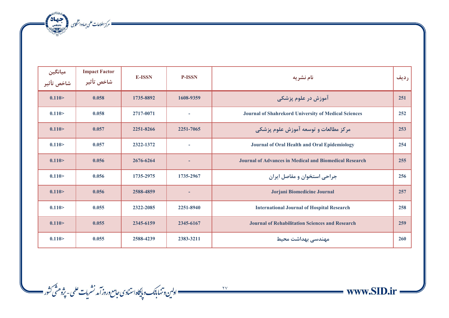مسك مركز اطلاعات على جهاددانشكاي مستعمل المجتمعة في المحمدة المحمدة المحمدة المحمدة المحمدة المحمدة المحمدة ال<br>المحمدة المحمدة المحمدة المحمدة المحمدة المحمدة المحمدة المحمدة المحمدة المحمدة المحمدة المحمدة المحمدة المحمد

| میانگین<br>شاخص تأثیر | <b>Impact Factor</b><br>شاخص تأثير | <b>E-ISSN</b> | <b>P-ISSN</b>  | نام نشريه                                                     | رديف |
|-----------------------|------------------------------------|---------------|----------------|---------------------------------------------------------------|------|
| 0.110 >               | 0.058                              | 1735-8892     | 1608-9359      | آموزش در علوم پزشکی                                           | 251  |
| 0.110 >               | 0.058                              | 2717-0071     | $\blacksquare$ | <b>Journal of Shahrekord University of Medical Sciences</b>   | 252  |
| 0.110 >               | 0.057                              | 2251-8266     | 2251-7065      | مرکز مطالعات و توسعه آموزش علوم پزشکی                         | 253  |
| 0.110 >               | 0.057                              | 2322-1372     | ÷              | Journal of Oral Health and Oral Epidemiology                  | 254  |
| 0.110 >               | 0.056                              | 2676-6264     | ۰              | <b>Journal of Advances in Medical and Biomedical Research</b> | 255  |
| 0.110 >               | 0.056                              | 1735-2975     | 1735-2967      | جراحی استخوان و مفاصل ایران                                   | 256  |
| 0.110 >               | 0.056                              | 2588-4859     | ٠              | Jorjani Biomedicine Journal                                   | 257  |
| 0.110 >               | 0.055                              | 2322-2085     | 2251-8940      | <b>International Journal of Hospital Research</b>             | 258  |
| 0.110 >               | 0.055                              | 2345-6159     | 2345-6167      | <b>Journal of Rehabilitation Sciences and Research</b>        | 259  |
| 0.110 >               | 0.055                              | 2588-4239     | 2383-3211      | مهندسی بهداشت محیط                                            | 260  |

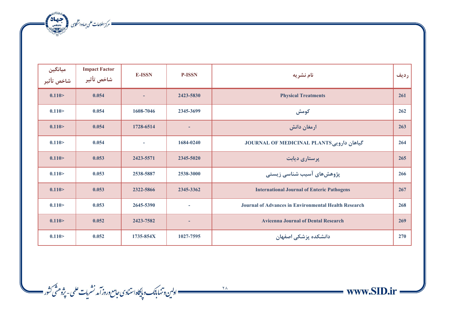ه مسكن الملاعات على جماددانشكارى المجمعية بالتي تحقيقات المنتج التي تحقيقات المجموعية التي تحقيقات ا<br>المسكن المسلمان المسلمان المسلمان المسلمان المسلمان المسلمان المسلمان المسلمان المسلمان المسلمان المسلمان المس<br>المسلمان

| میانگین<br>شاخص تأثیر | <b>Impact Factor</b><br>شاخص تأثير | <b>E-ISSN</b>            | <b>P-ISSN</b>            | نام نشريه                                                   | رديف |
|-----------------------|------------------------------------|--------------------------|--------------------------|-------------------------------------------------------------|------|
| 0.110 >               | 0.054                              |                          | 2423-5830                | <b>Physical Treatments</b>                                  | 261  |
| 0.110 >               | 0.054                              | 1608-7046                | 2345-3699                | كومش                                                        | 262  |
| 0.110 >               | 0.054                              | 1728-6514                | ٠                        | ارمغان دانش                                                 | 263  |
| 0.110 >               | 0.054                              | $\overline{\phantom{a}}$ | 1684-0240                | 5 كياهان دارويي JOURNAL OF MEDICINAL PLANTS                 | 264  |
| 0.110 >               | 0.053                              | 2423-5571                | 2345-5020                | پرستاری دیابت                                               | 265  |
| 0.110 >               | 0.053                              | 2538-5887                | 2538-3000                | پژوهشهای آسیب شناسی زیستی                                   | 266  |
| 0.110 >               | 0.053                              | 2322-5866                | 2345-3362                | <b>International Journal of Enteric Pathogens</b>           | 267  |
| 0.110 >               | 0.053                              | 2645-5390                | $\overline{\phantom{a}}$ | <b>Journal of Advances in Environmental Health Research</b> | 268  |
| 0.110 >               | 0.052                              | 2423-7582                | ٠                        | <b>Avicenna Journal of Dental Research</b>                  | 269  |
| 0.110 >               | 0.052                              | 1735-854X                | 1027-7595                | دانشکده پزشکی اصفهان                                        | 270  |

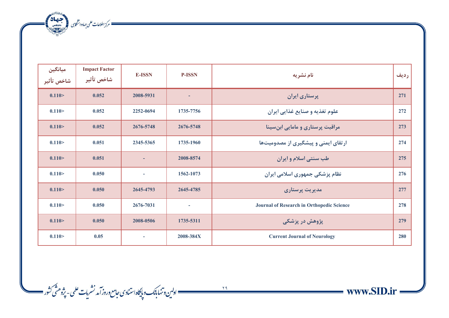ه مركز اطلاعات على جماددانشكارى (منتصف 142)<br>- مركز اطلاعات على جماددانشكارى (منتصف 142)

| ميانگين<br>شاخص تأثير | <b>Impact Factor</b><br>شاخص تأثير | <b>E-ISSN</b> | <b>P-ISSN</b> | نام نشریه                                 | رديف |
|-----------------------|------------------------------------|---------------|---------------|-------------------------------------------|------|
| 0.110 >               | 0.052                              | 2008-5931     |               | پرستاری ایران                             | 271  |
| 0.110 >               | 0.052                              | 2252-0694     | 1735-7756     | علوم تغذيه و صنايع غذايي ايران            | 272  |
| 0.110 >               | 0.052                              | 2676-5748     | 2676-5748     | مراقبت پرستاری و مامایی ابن سینا          | 273  |
| 0.110 >               | 0.051                              | 2345-5365     | 1735-1960     | ارتقای ایمنی و پیشگیری از مصدومیتها       | 274  |
| 0.110 >               | 0.051                              |               | 2008-8574     | طب سنتي اسلام و ايران                     | 275  |
| 0.110 >               | 0.050                              | $\sim$        | 1562-1073     | نظام پزشکی جمهوری اسلامی ایران            | 276  |
| 0.110 >               | 0.050                              | 2645-4793     | 2645-4785     | مدیریت پرستاری                            | 277  |
| 0.110 >               | 0.050                              | 2676-7031     | $\sim$        | Journal of Research in Orthopedic Science | 278  |
| 0.110 >               | 0.050                              | 2008-0506     | 1735-5311     | پژوهش در پزشکی                            | 279  |
| 0.110 >               | 0.05                               |               | 2008-384X     | <b>Current Journal of Neurology</b>       | 280  |

 $\frac{1}{4}$ 

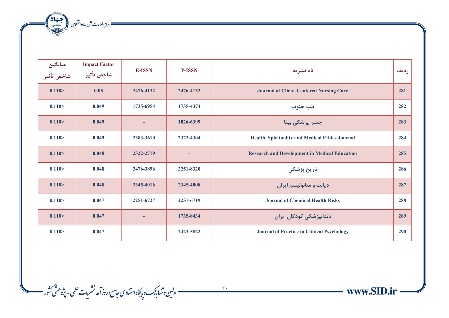ه مسكن الملاعات على جماددانشكارى المجمعية بالتي تحقيقات المنتج التي تحقيقات المجموعية التي تحقيقات ا<br>المسكن المسلمان المسلمان المسلمان المسلمان المسلمان المسلمان المسلمان المسلمان المسلمان المسلمان المسلمان المس<br>المسلمان

| میانگین<br>شاخص تأثیر | <b>Impact Factor</b><br>شاخص تأثير | <b>E-ISSN</b> | <b>P-ISSN</b> | نام نشریه                                            | رديف |
|-----------------------|------------------------------------|---------------|---------------|------------------------------------------------------|------|
| 0.110 >               | 0.05                               | 2476-4132     | 2476-4132     | <b>Journal of Client-Centered Nursing Care</b>       | 281  |
| 0.110 >               | 0.049                              | 1735-6954     | 1735-4374     | طب جنوب                                              | 282  |
| 0.110 >               | 0.049                              |               | 1026-6399     | چشم پزشکی بینا                                       | 283  |
| 0.110 >               | 0.049                              | 2383-3610     | 2322-4304     | Health, Spirituality and Medical Ethics Journal      | 284  |
| 0.110 >               | 0.048                              | 2322-2719     | ٠             | <b>Research and Development in Medical Education</b> | 285  |
| 0.110 >               | 0.048                              | 2476-3896     | 2251-8320     | تاریخ پزشکی                                          | 286  |
| 0.110 >               | 0.048                              | 2345-4016     | 2345-4008     | دیابت و متابولیسم ایران                              | 287  |
| 0.110 >               | 0.047                              | 2251-6727     | 2251-6719     | <b>Journal of Chemical Health Risks</b>              | 288  |
| 0.110 >               | 0.047                              |               | 1735-8434     | دندانپزشکی کودکان ایران                              | 289  |
| 0.110 >               | 0.047                              | ٠             | 2423-5822     | <b>Journal of Practice in Clinical Psychology</b>    | 290  |

www.SID.ir

ì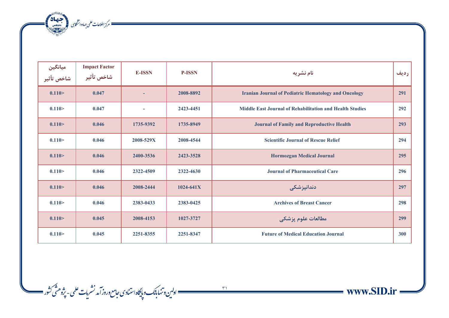مركز اطلاعات على جهاددانشكابى (مجتمعة 142)<br>مستخدم كرز اطلاعات على جهاددانشكابى

| میانگین<br>شاخص تأثیر | <b>Impact Factor</b><br>شاخص تأثير | <b>E-ISSN</b> | <b>P-ISSN</b> | نام نشریه                                                       | رديف |
|-----------------------|------------------------------------|---------------|---------------|-----------------------------------------------------------------|------|
| 0.110 >               | 0.047                              |               | 2008-8892     | <b>Iranian Journal of Pediatric Hematology and Oncology</b>     | 291  |
| 0.110 >               | 0.047                              |               | 2423-4451     | <b>Middle East Journal of Rehabilitation and Health Studies</b> | 292  |
| 0.110 >               | 0.046                              | 1735-9392     | 1735-8949     | <b>Journal of Family and Reproductive Health</b>                | 293  |
| 0.110 >               | 0.046                              | 2008-529X     | 2008-4544     | <b>Scientific Journal of Rescue Relief</b>                      | 294  |
| 0.110 >               | 0.046                              | 2400-3536     | 2423-3528     | <b>Hormozgan Medical Journal</b>                                | 295  |
| 0.110 >               | 0.046                              | 2322-4509     | 2322-4630     | <b>Journal of Pharmaceutical Care</b>                           | 296  |
| 0.110 >               | 0.046                              | 2008-2444     | $1024 - 641X$ | دندانپزشکی                                                      | 297  |
| 0.110 >               | 0.046                              | 2383-0433     | 2383-0425     | <b>Archives of Breast Cancer</b>                                | 298  |
| 0.110 >               | 0.045                              | 2008-4153     | 1027-3727     | مطالعات علوم يزشكي                                              | 299  |
| 0.110 >               | 0.045                              | 2251-8355     | 2251-8347     | <b>Future of Medical Education Journal</b>                      | 300  |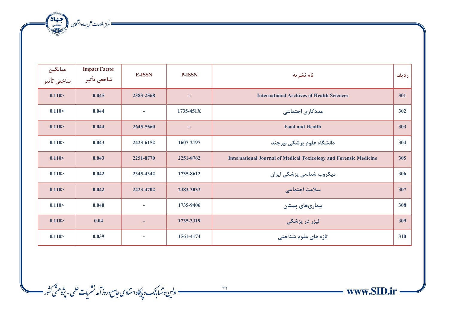مسك مركز اطلاعات على جهاددانشكاى المتحد بالانتصالات

| ميانگين<br>شاخص تأثير | <b>Impact Factor</b><br>شاخص تأثير | <b>E-ISSN</b> | <b>P-ISSN</b> | نام نشریه                                                                | رديف |
|-----------------------|------------------------------------|---------------|---------------|--------------------------------------------------------------------------|------|
| 0.110 >               | 0.045                              | 2383-2568     |               | <b>International Archives of Health Sciences</b>                         | 301  |
| 0.110 >               | 0.044                              |               | $1735 - 451X$ | مددکاری اجتماعی                                                          | 302  |
| 0.110 >               | 0.044                              | 2645-5560     | ٠             | <b>Food and Health</b>                                                   | 303  |
| 0.110 >               | 0.043                              | 2423-6152     | 1607-2197     | دانشگاه علوم پزشکی بیرجند                                                | 304  |
| 0.110 >               | 0.043                              | 2251-8770     | 2251-8762     | <b>International Journal of Medical Toxicology and Forensic Medicine</b> | 305  |
| 0.110 >               | 0.042                              | 2345-4342     | 1735-8612     | میکروب شناسی پزشکی ایران                                                 | 306  |
| 0.110 >               | 0.042                              | 2423-4702     | 2383-3033     | سلامت اجتماعي                                                            | 307  |
| 0.110 >               | 0.040                              |               | 1735-9406     | بیماریهای پستان                                                          | 308  |
| 0.110 >               | 0.04                               |               | 1735-3319     | لیزر در پزشک <i>ی</i>                                                    | 309  |
| 0.110 >               | 0.039                              |               | 1561-4174     | تازه های علوم شناختی                                                     | 310  |



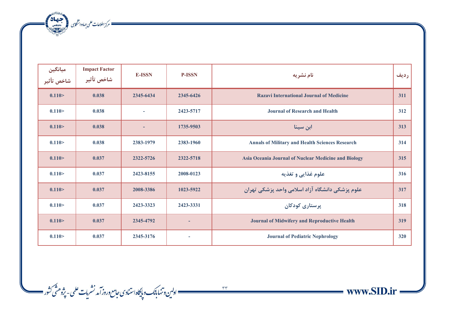مسكر الطلاعات على جهاددانشكابى المجتمعة المجتمعة المجتمعة المجتمعة المجتمعة المجتمعة المجتمعة المجتمعة المجتمعة<br>المجتمعة المجتمعة المجتمعة المجتمعة المجتمعة المجتمعة المجتمعة المجتمعة المجتمعة المجتمعة المجتمعة المجتمعة ا

| میانگین<br>شاخص تأثیر | <b>Impact Factor</b><br>شاخص تأثير | <b>E-ISSN</b> | <b>P-ISSN</b> | نام نشریه                                              | رديف |
|-----------------------|------------------------------------|---------------|---------------|--------------------------------------------------------|------|
| 0.110 >               | 0.038                              | 2345-6434     | 2345-6426     | <b>Razavi International Journal of Medicine</b>        | 311  |
| 0.110 >               | 0.038                              |               | 2423-5717     | <b>Journal of Research and Health</b>                  | 312  |
| 0.110 >               | 0.038                              |               | 1735-9503     | ابن سينا                                               | 313  |
| 0.110 >               | 0.038                              | 2383-1979     | 2383-1960     | <b>Annals of Military and Health Sciences Research</b> | 314  |
| 0.110 >               | 0.037                              | 2322-5726     | 2322-5718     | Asia Oceania Journal of Nuclear Medicine and Biology   | 315  |
| 0.110 >               | 0.037                              | 2423-8155     | 2008-0123     | علوم غذایی و تغذیه                                     | 316  |
| 0.110 >               | 0.037                              | 2008-3386     | 1023-5922     | علوم پزشکی دانشگاه آزاد اسلامی واحد پزشکی تهران        | 317  |
| 0.110 >               | 0.037                              | 2423-3323     | 2423-3331     | پرستاری کودکان                                         | 318  |
| 0.110 >               | 0.037                              | 2345-4792     | ٠             | <b>Journal of Midwifery and Reproductive Health</b>    | 319  |
| 0.110 >               | 0.037                              | 2345-3176     | $\sim$        | <b>Journal of Pediatric Nephrology</b>                 | 320  |

www.SID.ir and a

ì

ے ۔<br>\_\_\_\_\_\_\_\_\_\_\_\_\_\_\_\_\_ اولین و تنها بانک و پایگاه استنادی حامع وروز آمد نشریات علمی - پژوهشی کثور \_\_\_\_\_\_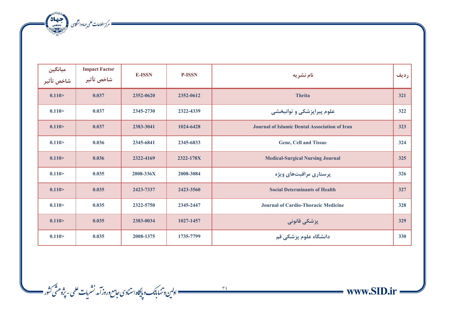مسكر الطلاعات على جهاددانشكابى المجتمعة المجتمعة المجتمعة المجتمعة المجتمعة المجتمعة المجتمعة المجتمعة المجتمعة<br>المجتمعة المجتمعة المجتمعة المجتمعة المجتمعة المجتمعة المجتمعة المجتمعة المجتمعة المجتمعة المجتمعة المجتمعة ا

| ميانگين<br>شاخص تأثير | <b>Impact Factor</b><br>شاخص تأثير | <b>E-ISSN</b> | <b>P-ISSN</b> | نام نشريه                                            | رديف |
|-----------------------|------------------------------------|---------------|---------------|------------------------------------------------------|------|
| 0.110 >               | 0.037                              | 2352-0620     | 2352-0612     | <b>Thrita</b>                                        | 321  |
| 0.110 >               | 0.037                              | 2345-2730     | 2322-4339     | علوم پیراپزشکی و توانبخشی                            | 322  |
| 0.110 >               | 0.037                              | 2383-3041     | 1024-6428     | <b>Journal of Islamic Dental Association of Iran</b> | 323  |
| 0.110 >               | 0.036                              | 2345-6841     | 2345-6833     | <b>Gene, Cell and Tissue</b>                         | 324  |
| 0.110 >               | 0.036                              | 2322-4169     | 2322-178X     | <b>Medical-Surgical Nursing Journal</b>              | 325  |
| 0.110 >               | 0.035                              | 2008-336X     | 2008-3084     | پرستاری مراقبتهای ویژه                               | 326  |
| 0.110 >               | 0.035                              | 2423-7337     | 2423-3560     | <b>Social Determinants of Health</b>                 | 327  |
| 0.110 >               | 0.035                              | 2322-5750     | 2345-2447     | Journal of Cardio-Thoracic Medicine                  | 328  |
| 0.110 >               | 0.035                              | 2383-0034     | 1027-1457     | پزشکی قانونی                                         | 329  |
| 0.110 >               | 0.035                              | 2008-1375     | 1735-7799     | دانشگاه علوم پزشکی قم                                | 330  |

ے ہیں۔<br>مسلمنسسسسسسسسسسسسسسسسسسستان کی استبادی *جامع وروز آمد نشریات علمی - پژوهنٹی ک*ثور مسلمس

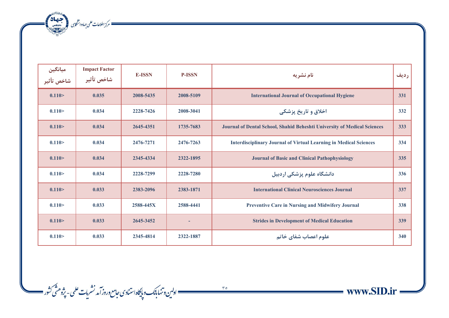مسك مركز اطلاعات على جهاددانشكابى المجتمعة بالتعادية

| ميانگين<br>شاخص تأثير | <b>Impact Factor</b><br>شاخص تأثير | <b>E-ISSN</b> | <b>P-ISSN</b> | نام نشریه                                                                | رديف |
|-----------------------|------------------------------------|---------------|---------------|--------------------------------------------------------------------------|------|
| 0.110 >               | 0.035                              | 2008-5435     | 2008-5109     | <b>International Journal of Occupational Hygiene</b>                     | 331  |
| 0.110 >               | 0.034                              | 2228-7426     | 2008-3041     | اخلاق و تاریخ پزشکی                                                      | 332  |
| 0.110 >               | 0.034                              | 2645-4351     | 1735-7683     | Journal of Dental School, Shahid Beheshti University of Medical Sciences | 333  |
| 0.110 >               | 0.034                              | 2476-7271     | 2476-7263     | <b>Interdisciplinary Journal of Virtual Learning in Medical Sciences</b> | 334  |
| 0.110 >               | 0.034                              | 2345-4334     | 2322-1895     | <b>Journal of Basic and Clinical Pathophysiology</b>                     | 335  |
| 0.110 >               | 0.034                              | 2228-7299     | 2228-7280     | دانشگاه علوم پزشکی اردبیل                                                | 336  |
| 0.110 >               | 0.033                              | 2383-2096     | 2383-1871     | <b>International Clinical Neurosciences Journal</b>                      | 337  |
| 0.110 >               | 0.033                              | 2588-445X     | 2588-4441     | <b>Preventive Care in Nursing and Midwifery Journal</b>                  | 338  |
| 0.110 >               | 0.033                              | 2645-3452     |               | <b>Strides in Development of Medical Education</b>                       | 339  |
| 0.110 >               | 0.033                              | 2345-4814     | 2322-1887     | علوم اعصاب شفاي خاتم                                                     | 340  |



www.SID.ir =

 $\sim$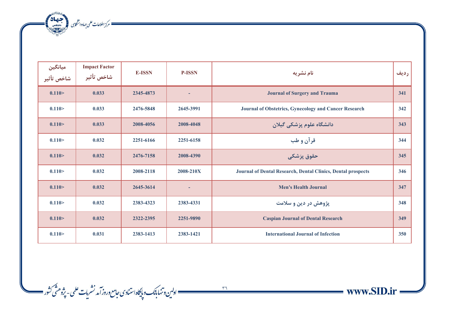مركز اطلاعات على جهاددانشكابى (مجتمعة 142)<br>مستخدم كرز اطلاعات على جهاددانشكابى

| میانگین<br>شاخص تأثیر | <b>Impact Factor</b><br>شاخص تأثير | <b>E-ISSN</b> | <b>P-ISSN</b> | نام نشريه                                                    | رديف |
|-----------------------|------------------------------------|---------------|---------------|--------------------------------------------------------------|------|
| 0.110 >               | 0.033                              | 2345-4873     | ۰             | <b>Journal of Surgery and Trauma</b>                         | 341  |
| 0.110 >               | 0.033                              | 2476-5848     | 2645-3991     | Journal of Obstetrics, Gynecology and Cancer Research        | 342  |
| 0.110 >               | 0.033                              | 2008-4056     | 2008-4048     | دانشگاه علوم پزشکی گیلان                                     | 343  |
| 0.110 >               | 0.032                              | 2251-6166     | 2251-6158     | قرآن و طب                                                    | 344  |
| 0.110 >               | 0.032                              | 2476-7158     | 2008-4390     | حقوق پزشکی                                                   | 345  |
| 0.110 >               | 0.032                              | 2008-2118     | 2008-210X     | Journal of Dental Research, Dental Clinics, Dental prospects | 346  |
| 0.110 >               | 0.032                              | 2645-3614     | ٠             | <b>Men's Health Journal</b>                                  | 347  |
| 0.110 >               | 0.032                              | 2383-4323     | 2383-4331     | پژوهش در دین و سلامت                                         | 348  |
| 0.110 >               | 0.032                              | 2322-2395     | 2251-9890     | <b>Caspian Journal of Dental Research</b>                    | 349  |
| 0.110 >               | 0.031                              | 2383-1413     | 2383-1421     | <b>International Journal of Infection</b>                    | 350  |



ے ہوا۔<br>1868ء کیسمبر سے اولین و تنہایاک وبایکاہ استنادی جامع وروز آمد نشریات علمی - پژوهشی کشور ایک مسلمان کے دوسرے کے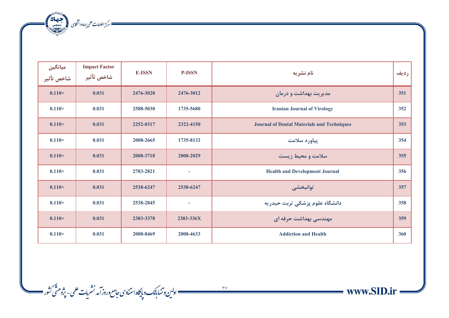مركز اطلاعات على جهاددانشكابى (مجتمعة 142)<br>مستخدم كرز اطلاعات على جهاددانشكابى

| میانگین<br>شاخص تأثیر | <b>Impact Factor</b><br>شاخص تأثير | <b>E-ISSN</b> | <b>P-ISSN</b>            | نام نشریه                                         | رديف |
|-----------------------|------------------------------------|---------------|--------------------------|---------------------------------------------------|------|
| 0.110 >               | 0.031                              | 2476-3020     | 2476-3012                | مدیریت بهداشت و درمان                             | 351  |
| 0.110 >               | 0.031                              | 2588-5030     | 1735-5680                | <b>Iranian Journal of Virology</b>                | 352  |
| 0.110 >               | 0.031                              | 2252-0317     | 2322-4150                | <b>Journal of Dental Materials and Techniques</b> | 353  |
| 0.110 >               | 0.031                              | 2008-2665     | 1735-8132                | پیاورد سلامت                                      | 354  |
| 0.110 >               | 0.031                              | 2008-3718     | 2008-2029                | سلامت و محیط زیست                                 | 355  |
| 0.110 >               | 0.031                              | 2783-2821     | $\overline{\phantom{a}}$ | <b>Health and Development Journal</b>             | 356  |
| 0.110 >               | 0.031                              | 2538-6247     | 2538-6247                | توانبخشي                                          | 357  |
| 0.110 >               | 0.031                              | 2538-2845     | $\sim$                   | دانشگاه علوم پزشکی تربت حیدریه                    | 358  |
| 0.110 >               | 0.031                              | 2383-3378     | 2383-336X                | مهندسی بهداشت حرفه ای                             | 359  |
| 0.110 >               | 0.031                              | 2008-8469     | 2008-4633                | <b>Addiction and Health</b>                       | 360  |



www.SID.ir

 $\sim$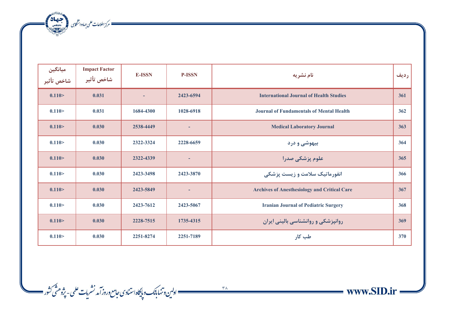مسكر الطلاعات على جهاددانشكابى المجتمعة المجتمعة المجتمعة المجتمعة المجتمعة المجتمعة المجتمعة المجتمعة المجتمعة<br>المجتمعة المجتمعة المجتمعة المجتمعة المجتمعة المجتمعة المجتمعة المجتمعة المجتمعة المجتمعة المجتمعة المجتمعة ا

| میانگین<br>شاخص تأثیر | <b>Impact Factor</b><br>شاخص تأثير | <b>E-ISSN</b> | <b>P-ISSN</b> | نام نشریه                                           | رديف |
|-----------------------|------------------------------------|---------------|---------------|-----------------------------------------------------|------|
| 0.110 >               | 0.031                              |               | 2423-6594     | <b>International Journal of Health Studies</b>      | 361  |
| 0.110 >               | 0.031                              | 1684-4300     | 1028-6918     | <b>Journal of Fundamentals of Mental Health</b>     | 362  |
| 0.110 >               | 0.030                              | 2538-4449     | ٠             | <b>Medical Laboratory Journal</b>                   | 363  |
| 0.110 >               | 0.030                              | 2322-3324     | 2228-6659     | بیهوشی و درد                                        | 364  |
| 0.110 >               | 0.030                              | 2322-4339     |               | علوم پزشکی صدرا                                     | 365  |
| 0.110 >               | 0.030                              | 2423-3498     | 2423-3870     | انفورماتیک سلامت و زیست پزشکی                       | 366  |
| 0.110 >               | 0.030                              | 2423-5849     | ÷             | <b>Archives of Anesthesiology and Critical Care</b> | 367  |
| 0.110 >               | 0.030                              | 2423-7612     | 2423-5067     | <b>Iranian Journal of Pediatric Surgery</b>         | 368  |
| 0.110 >               | 0.030                              | 2228-7515     | 1735-4315     | روانپزشکی و روانشناسی بالینی ایران                  | 369  |
| 0.110 >               | 0.030                              | 2251-8274     | 2251-7189     | طب کار                                              | 370  |

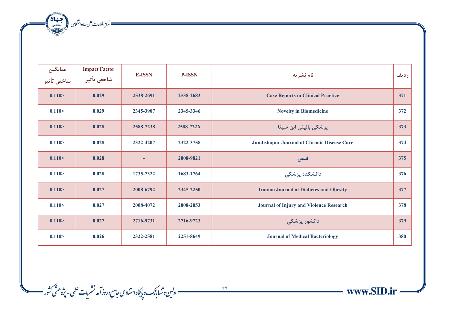مسك مركز اطلاعات على جهاددانشكاى المتحد بالانتصالات

| ميانگين<br>شاخص تأثير | <b>Impact Factor</b><br>شاخص تأثير | <b>E-ISSN</b> | <b>P-ISSN</b> | نام نشریه                                      | رديف |
|-----------------------|------------------------------------|---------------|---------------|------------------------------------------------|------|
| 0.110 >               | 0.029                              | 2538-2691     | 2538-2683     | <b>Case Reports in Clinical Practice</b>       | 371  |
| 0.110 >               | 0.029                              | 2345-3907     | 2345-3346     | <b>Novelty in Biomedicine</b>                  | 372  |
| 0.110 >               | 0.028                              | 2588-7238     | 2588-722X     | پزشکی بالینی ابن سینا                          | 373  |
| 0.110 >               | 0.028                              | 2322-4207     | 2322-3758     | Jundishapur Journal of Chronic Disease Care    | 374  |
| 0.110 >               | 0.028                              |               | 2008-9821     | فيض                                            | 375  |
| 0.110 >               | 0.028                              | 1735-7322     | 1683-1764     | دانشکده پزشکی                                  | 376  |
| 0.110 >               | 0.027                              | 2008-6792     | 2345-2250     | <b>Iranian Journal of Diabetes and Obesity</b> | 377  |
| 0.110 >               | 0.027                              | 2008-4072     | 2008-2053     | <b>Journal of Injury and Violence Research</b> | 378  |
| 0.110 >               | 0.027                              | 2716-9731     | 2716-9723     | دانشور پزشکی                                   | 379  |
| 0.110 >               | 0.026                              | 2322-2581     | 2251-8649     | <b>Journal of Medical Bacteriology</b>         | 380  |



 $\longrightarrow$  www.SID.ir =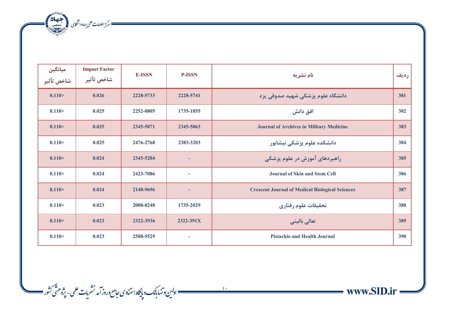مسكر الطلاعات على جهاددانشكابى المجتمعة المجتمعة المجتمعة المجتمعة المجتمعة المجتمعة المجتمعة المجتمعة المجتمعة<br>المجتمعة المجتمعة المجتمعة المجتمعة المجتمعة المجتمعة المجتمعة المجتمعة المجتمعة المجتمعة المجتمعة المجتمعة ا

| میانگین<br>شاخص تأثیر | <b>Impact Factor</b><br>شاخص تأثير | <b>E-ISSN</b> | <b>P-ISSN</b>            | نام نشریه                                              | رديف |
|-----------------------|------------------------------------|---------------|--------------------------|--------------------------------------------------------|------|
| 0.110 >               | 0.026                              | 2228-5733     | 2228-5741                | دانشگاه علوم پزشکی شهید صدوقی یزد                      | 381  |
| 0.110 >               | 0.025                              | 2252-0805     | 1735-1855                | افق دانش                                               | 382  |
| 0.110 >               | 0.025                              | 2345-5071     | 2345-5063                | <b>Journal of Archives in Military Medicine</b>        | 383  |
| 0.110 >               | 0.025                              | 2476-2768     | 2383-3203                | دانشکده علوم پزشکی نیشابور                             | 384  |
| 0.110 >               | 0.024                              | 2345-5284     | ٠                        | راهبردهای آموزش در علوم پزشکی                          | 385  |
| 0.110 >               | 0.024                              | 2423-7086     | $\overline{\phantom{a}}$ | <b>Journal of Skin and Stem Cell</b>                   | 386  |
| 0.110 >               | 0.024                              | 2148-9696     | н,                       | <b>Crescent Journal of Medical Biological Sciences</b> | 387  |
| 0.110 >               | 0.023                              | 2008-8248     | 1735-2029                | تحقيقات علوم رفتاري                                    | 388  |
| 0.110 >               | 0.023                              | 2322-3936     | 2322-391X                | تعالى باليني                                           | 389  |
| 0.110 >               | 0.023                              | 2588-5529     |                          | <b>Pistachio and Health Journal</b>                    | 390  |

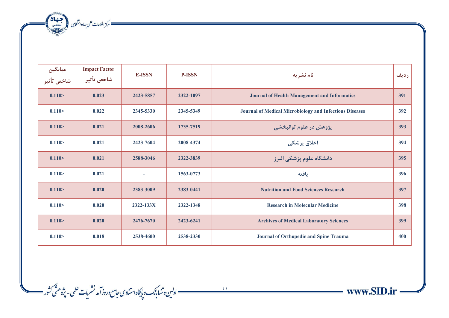ه مسكن الملاعات على جماددانشكارى المجمعة المحصر المحصر المحصر المحصر المحصر المحصر المحصر المحصر الم

| میانگین<br>شاخص تأثیر | <b>Impact Factor</b><br>شاخص تأثير | <b>E-ISSN</b> | <b>P-ISSN</b> | نام نشریه                                                      | رديف |
|-----------------------|------------------------------------|---------------|---------------|----------------------------------------------------------------|------|
| 0.110 >               | 0.023                              | 2423-5857     | 2322-1097     | <b>Journal of Health Management and Informatics</b>            | 391  |
| 0.110 >               | 0.022                              | 2345-5330     | 2345-5349     | <b>Journal of Medical Microbiology and Infectious Diseases</b> | 392  |
| 0.110 >               | 0.021                              | 2008-2606     | 1735-7519     | پژوهش در علوم توانبخشی                                         | 393  |
| 0.110 >               | 0.021                              | 2423-7604     | 2008-4374     | اخلاق پزشکی                                                    | 394  |
| 0.110 >               | 0.021                              | 2588-3046     | 2322-3839     | دانشگاه علوم پزشکی البرز                                       | 395  |
| 0.110 >               | 0.021                              |               | 1563-0773     | يافته                                                          | 396  |
| 0.110 >               | 0.020                              | 2383-3009     | 2383-0441     | <b>Nutrition and Food Sciences Research</b>                    | 397  |
| 0.110 >               | 0.020                              | 2322-133X     | 2322-1348     | <b>Research in Molecular Medicine</b>                          | 398  |
| 0.110 >               | 0.020                              | 2476-7670     | 2423-6241     | <b>Archives of Medical Laboratory Sciences</b>                 | 399  |
| 0.110 >               | 0.018                              | 2538-4600     | 2538-2330     | Journal of Orthopedic and Spine Trauma                         | 400  |

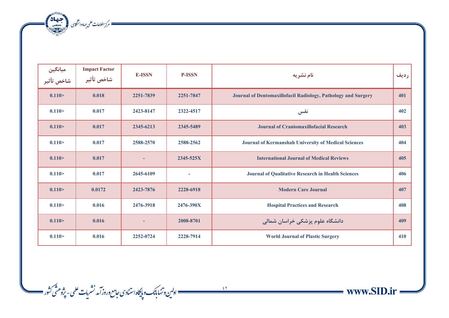مسك مركز اطلاعات على جهاددانشكاى المتحد بالانتصالات

| ميانگين<br>شاخص تأثير | <b>Impact Factor</b><br>شاخص تأثير | <b>E-ISSN</b> | <b>P-ISSN</b>            | نام نشریه                                                     | رديف |
|-----------------------|------------------------------------|---------------|--------------------------|---------------------------------------------------------------|------|
| 0.110 >               | 0.018                              | 2251-7839     | 2251-7847                | Journal of Dentomaxillofacil Radiology, Pathology and Surgery | 401  |
| 0.110 >               | 0.017                              | 2423-8147     | 2322-4517                | نفس                                                           | 402  |
| 0.110 >               | 0.017                              | 2345-6213     | 2345-5489                | <b>Journal of Craniomaxillofacial Research</b>                | 403  |
| 0.110 >               | 0.017                              | 2588-2570     | 2588-2562                | Journal of Kermanshah University of Medical Sciences          | 404  |
| 0.110 >               | 0.017                              |               | 2345-525X                | <b>International Journal of Medical Reviews</b>               | 405  |
| 0.110 >               | 0.017                              | 2645-6109     | $\overline{\phantom{a}}$ | <b>Journal of Qualitative Research in Health Sciences</b>     | 406  |
| 0.110 >               | 0.0172                             | 2423-7876     | 2228-6918                | <b>Modern Care Journal</b>                                    | 407  |
| 0.110 >               | 0.016                              | 2476-3918     | 2476-390X                | <b>Hospital Practices and Research</b>                        | 408  |
| 0.110 >               | 0.016                              |               | 2008-8701                | دانشگاه علوم پزشکی خراسان شمالی                               | 409  |
| 0.110 >               | 0.016                              | 2252-0724     | 2228-7914                | <b>World Journal of Plastic Surgery</b>                       | 410  |



 $\longrightarrow$  www.SID.ir =